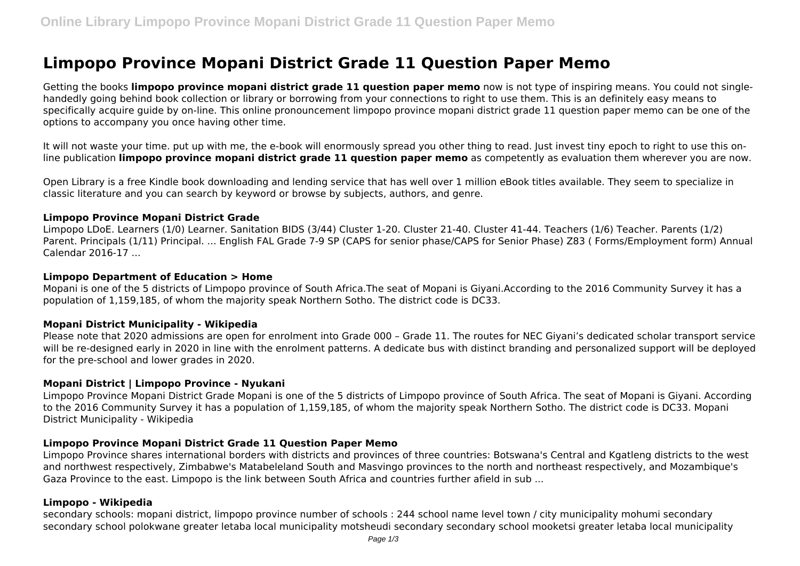# **Limpopo Province Mopani District Grade 11 Question Paper Memo**

Getting the books **limpopo province mopani district grade 11 question paper memo** now is not type of inspiring means. You could not singlehandedly going behind book collection or library or borrowing from your connections to right to use them. This is an definitely easy means to specifically acquire guide by on-line. This online pronouncement limpopo province mopani district grade 11 question paper memo can be one of the options to accompany you once having other time.

It will not waste your time. put up with me, the e-book will enormously spread you other thing to read. Just invest tiny epoch to right to use this online publication **limpopo province mopani district grade 11 question paper memo** as competently as evaluation them wherever you are now.

Open Library is a free Kindle book downloading and lending service that has well over 1 million eBook titles available. They seem to specialize in classic literature and you can search by keyword or browse by subjects, authors, and genre.

### **Limpopo Province Mopani District Grade**

Limpopo LDoE. Learners (1/0) Learner. Sanitation BIDS (3/44) Cluster 1-20. Cluster 21-40. Cluster 41-44. Teachers (1/6) Teacher. Parents (1/2) Parent. Principals (1/11) Principal. ... English FAL Grade 7-9 SP (CAPS for senior phase/CAPS for Senior Phase) Z83 ( Forms/Employment form) Annual Calendar 2016-17 ...

## **Limpopo Department of Education > Home**

Mopani is one of the 5 districts of Limpopo province of South Africa.The seat of Mopani is Giyani.According to the 2016 Community Survey it has a population of 1,159,185, of whom the majority speak Northern Sotho. The district code is DC33.

## **Mopani District Municipality - Wikipedia**

Please note that 2020 admissions are open for enrolment into Grade 000 – Grade 11. The routes for NEC Giyani's dedicated scholar transport service will be re-designed early in 2020 in line with the enrolment patterns. A dedicate bus with distinct branding and personalized support will be deployed for the pre-school and lower grades in 2020.

### **Mopani District | Limpopo Province - Nyukani**

Limpopo Province Mopani District Grade Mopani is one of the 5 districts of Limpopo province of South Africa. The seat of Mopani is Giyani. According to the 2016 Community Survey it has a population of 1,159,185, of whom the majority speak Northern Sotho. The district code is DC33. Mopani District Municipality - Wikipedia

## **Limpopo Province Mopani District Grade 11 Question Paper Memo**

Limpopo Province shares international borders with districts and provinces of three countries: Botswana's Central and Kgatleng districts to the west and northwest respectively, Zimbabwe's Matabeleland South and Masvingo provinces to the north and northeast respectively, and Mozambique's Gaza Province to the east. Limpopo is the link between South Africa and countries further afield in sub ...

#### **Limpopo - Wikipedia**

secondary schools: mopani district, limpopo province number of schools : 244 school name level town / city municipality mohumi secondary secondary school polokwane greater letaba local municipality motsheudi secondary secondary school mooketsi greater letaba local municipality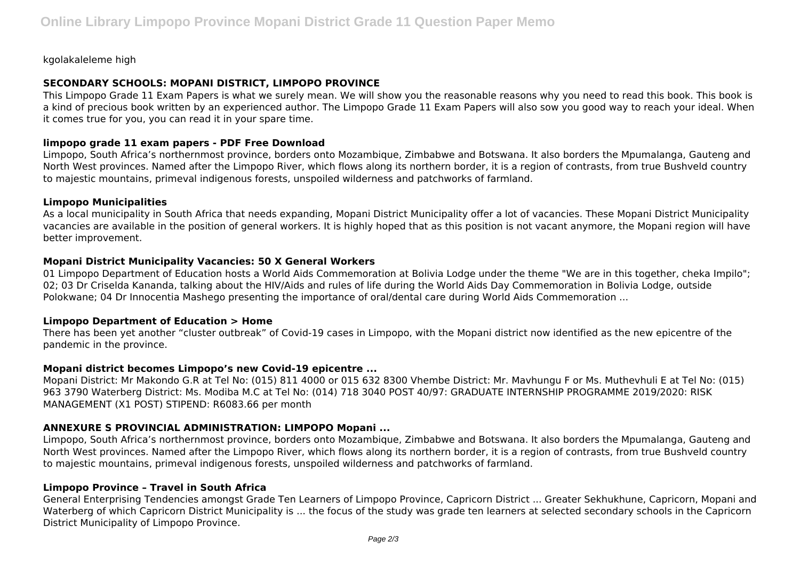kgolakaleleme high

# **SECONDARY SCHOOLS: MOPANI DISTRICT, LIMPOPO PROVINCE**

This Limpopo Grade 11 Exam Papers is what we surely mean. We will show you the reasonable reasons why you need to read this book. This book is a kind of precious book written by an experienced author. The Limpopo Grade 11 Exam Papers will also sow you good way to reach your ideal. When it comes true for you, you can read it in your spare time.

# **limpopo grade 11 exam papers - PDF Free Download**

Limpopo, South Africa's northernmost province, borders onto Mozambique, Zimbabwe and Botswana. It also borders the Mpumalanga, Gauteng and North West provinces. Named after the Limpopo River, which flows along its northern border, it is a region of contrasts, from true Bushveld country to majestic mountains, primeval indigenous forests, unspoiled wilderness and patchworks of farmland.

# **Limpopo Municipalities**

As a local municipality in South Africa that needs expanding, Mopani District Municipality offer a lot of vacancies. These Mopani District Municipality vacancies are available in the position of general workers. It is highly hoped that as this position is not vacant anymore, the Mopani region will have better improvement.

# **Mopani District Municipality Vacancies: 50 X General Workers**

01 Limpopo Department of Education hosts a World Aids Commemoration at Bolivia Lodge under the theme "We are in this together, cheka Impilo"; 02; 03 Dr Criselda Kananda, talking about the HIV/Aids and rules of life during the World Aids Day Commemoration in Bolivia Lodge, outside Polokwane; 04 Dr Innocentia Mashego presenting the importance of oral/dental care during World Aids Commemoration ...

# **Limpopo Department of Education > Home**

There has been yet another "cluster outbreak" of Covid-19 cases in Limpopo, with the Mopani district now identified as the new epicentre of the pandemic in the province.

# **Mopani district becomes Limpopo's new Covid-19 epicentre ...**

Mopani District: Mr Makondo G.R at Tel No: (015) 811 4000 or 015 632 8300 Vhembe District: Mr. Mavhungu F or Ms. Muthevhuli E at Tel No: (015) 963 3790 Waterberg District: Ms. Modiba M.C at Tel No: (014) 718 3040 POST 40/97: GRADUATE INTERNSHIP PROGRAMME 2019/2020: RISK MANAGEMENT (X1 POST) STIPEND: R6083.66 per month

# **ANNEXURE S PROVINCIAL ADMINISTRATION: LIMPOPO Mopani ...**

Limpopo, South Africa's northernmost province, borders onto Mozambique, Zimbabwe and Botswana. It also borders the Mpumalanga, Gauteng and North West provinces. Named after the Limpopo River, which flows along its northern border, it is a region of contrasts, from true Bushveld country to majestic mountains, primeval indigenous forests, unspoiled wilderness and patchworks of farmland.

# **Limpopo Province – Travel in South Africa**

General Enterprising Tendencies amongst Grade Ten Learners of Limpopo Province, Capricorn District ... Greater Sekhukhune, Capricorn, Mopani and Waterberg of which Capricorn District Municipality is ... the focus of the study was grade ten learners at selected secondary schools in the Capricorn District Municipality of Limpopo Province.